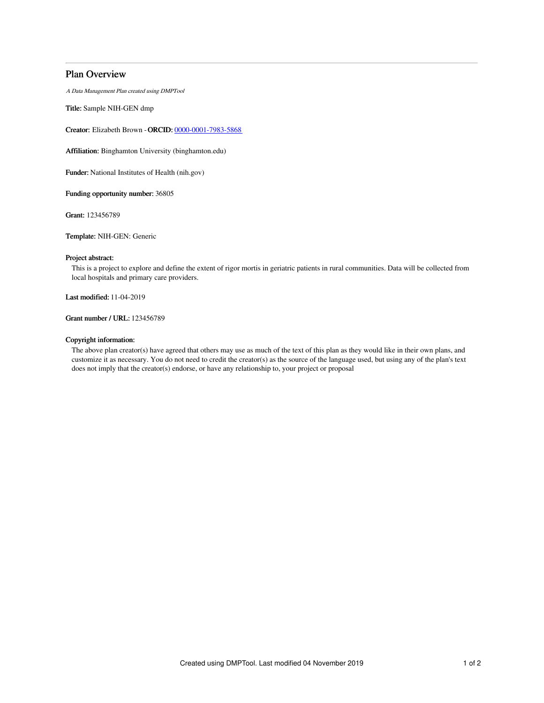## Plan Overview

A Data Management Plan created using DMPTool

Title: Sample NIH-GEN dmp

Creator: Elizabeth Brown -ORCID: [0000-0001-7983-5868](https://orcid.org/0000-0001-7983-5868)

Affiliation: Binghamton University (binghamton.edu)

Funder: National Institutes of Health (nih.gov)

Funding opportunity number: 36805

Grant: 123456789

Template: NIH-GEN: Generic

## Project abstract:

This is a project to explore and define the extent of rigor mortis in geriatric patients in rural communities. Data will be collected from local hospitals and primary care providers.

Last modified: 11-04-2019

Grant number / URL: 123456789

### Copyright information:

The above plan creator(s) have agreed that others may use as much of the text of this plan as they would like in their own plans, and customize it as necessary. You do not need to credit the creator(s) as the source of the language used, but using any of the plan's text does not imply that the creator(s) endorse, or have any relationship to, your project or proposal